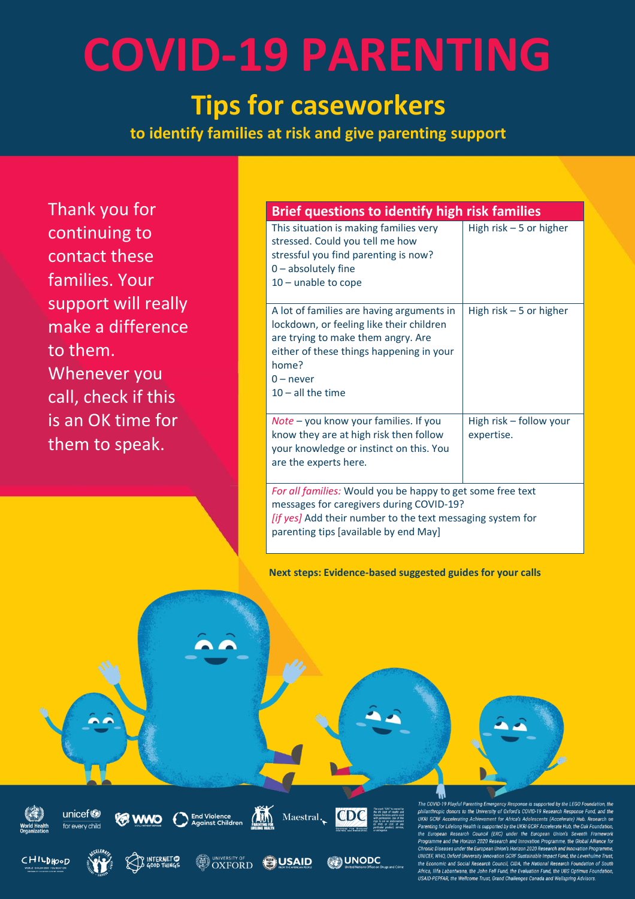#### **Tips for caseworkers**

**to identify families at risk and give parenting support**

Thank you for continuing to contact these families. Your support will really make a difference to them. Whenever you call, check if this is an OK time for them to speak.

#### **Brief questions to identify high risk families**

| This situation is making families very<br>stressed. Could you tell me how<br>stressful you find parenting is now?<br>$0$ – absolutely fine<br>$10$ – unable to cope                                                    | High risk $-5$ or higher              |
|------------------------------------------------------------------------------------------------------------------------------------------------------------------------------------------------------------------------|---------------------------------------|
| A lot of families are having arguments in<br>lockdown, or feeling like their children<br>are trying to make them angry. Are<br>either of these things happening in your<br>home?<br>$0$ – never<br>$10 -$ all the time | High risk $-5$ or higher              |
| Note - you know your families. If you<br>know they are at high risk then follow<br>your knowledge or instinct on this. You<br>are the experts here.                                                                    | High risk - follow your<br>expertise. |
| For all families: Would you be happy to get some free text<br>messages for caregivers during COVID-19?<br>[if yes] Add their number to the text messaging system for<br>parenting tips [available by end May]          |                                       |

**Next steps: Evidence-based suggested guides for your calls**



COVID-19 Playful Parenting Emergency Respo ise is sur ad by the I FGO Fo out the University of Oxford's COVID-19 Research Response Functional Control of the University of Oxford's COVID-19 Research Response Function<br>GCRF Accelerating Achievement for Africa's Adolescents (Accelerate) Hub. Re .<br>me and the Horizon 2020 Research and Innovation Programme, the c Diseases under the European Union's Horizon 2020 Res UNICEF, WHO, Oxford University Innovation GCRF Sustainable Impact Fund, the Le<br>the Economic and Social Research Council, CIDA, the National Research Found .<br>Africa, Ilifa Labantwana, the John Fell Fund, the Evaluation Fund, the UBS Optimus Fo<br>USAID-PEPFAR, the Wellcome Trust, Grand Challenges Canada and Wellspring Advisors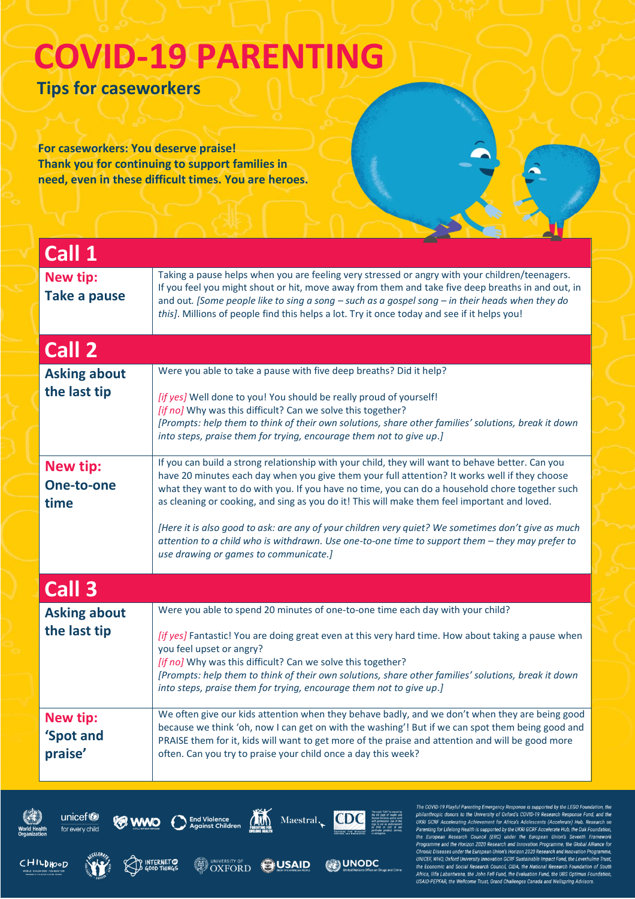**Tips for caseworkers**

**For caseworkers: You deserve praise! Thank you for continuing to support families in need, even in these difficult times. You are heroes.**

| Call 1                                  |                                                                                                                                                                                                                                                                                                                                                                                                                                                                                                                                                                                                                                                       |
|-----------------------------------------|-------------------------------------------------------------------------------------------------------------------------------------------------------------------------------------------------------------------------------------------------------------------------------------------------------------------------------------------------------------------------------------------------------------------------------------------------------------------------------------------------------------------------------------------------------------------------------------------------------------------------------------------------------|
| <b>New tip:</b><br><b>Take a pause</b>  | Taking a pause helps when you are feeling very stressed or angry with your children/teenagers.<br>If you feel you might shout or hit, move away from them and take five deep breaths in and out, in<br>and out. [Some people like to sing a song - such as a gospel song - in their heads when they do<br>this]. Millions of people find this helps a lot. Try it once today and see if it helps you!                                                                                                                                                                                                                                                 |
| Call 2                                  |                                                                                                                                                                                                                                                                                                                                                                                                                                                                                                                                                                                                                                                       |
| <b>Asking about</b><br>the last tip     | Were you able to take a pause with five deep breaths? Did it help?<br>[if yes] Well done to you! You should be really proud of yourself!<br>[if no] Why was this difficult? Can we solve this together?<br>[Prompts: help them to think of their own solutions, share other families' solutions, break it down<br>into steps, praise them for trying, encourage them not to give up.]                                                                                                                                                                                                                                                                 |
| <b>New tip:</b><br>One-to-one<br>time   | If you can build a strong relationship with your child, they will want to behave better. Can you<br>have 20 minutes each day when you give them your full attention? It works well if they choose<br>what they want to do with you. If you have no time, you can do a household chore together such<br>as cleaning or cooking, and sing as you do it! This will make them feel important and loved.<br>[Here it is also good to ask: are any of your children very quiet? We sometimes don't give as much<br>attention to a child who is withdrawn. Use one-to-one time to support them - they may prefer to<br>use drawing or games to communicate.] |
| Call 3                                  |                                                                                                                                                                                                                                                                                                                                                                                                                                                                                                                                                                                                                                                       |
| <b>Asking about</b><br>the last tip     | Were you able to spend 20 minutes of one-to-one time each day with your child?<br>[if yes] Fantastic! You are doing great even at this very hard time. How about taking a pause when<br>you feel upset or angry?<br>[if no] Why was this difficult? Can we solve this together?<br>[Prompts: help them to think of their own solutions, share other families' solutions, break it down<br>into steps, praise them for trying, encourage them not to give up.]                                                                                                                                                                                         |
| <b>New tip:</b><br>'Spot and<br>praise' | We often give our kids attention when they behave badly, and we don't when they are being good<br>because we think 'oh, now I can get on with the washing'! But if we can spot them being good and<br>PRAISE them for it, kids will want to get more of the praise and attention and will be good more<br>often. Can you try to praise your child once a day this week?                                                                                                                                                                                                                                                                               |



CHILDHOOD





**A INTERNET OF** 



OXFORD OUSAID



**ON UNODC** 

The COVID-19 Playful Parenting Emergency Response is supported by the LEGO Foundation, the<br>philanthropic donors to the University of Oxford's COVID-19 Research Response Fund, and the<br>UKRI GCRF Accelerating Achievement for Parenting for Lifelong Health is supported by the UKRI GCRF Accelerate Hub, the Oak Fourthern the European Research Council (ERC) under the European Current Framework .<br>Programme and the Horizon 2020 Research and Innovation Programme, the Global Alliance for<br>Chronic Diseases under the European Union's Horizon 2020 Research and Innovation Programme, UNICEF, WHO, Oxford University Innovation GCRF Sustainable Impact Fund, the Leverhulme Trust,<br>the Economic and Social Research Council, CIDA, the National Research Foundation of South Africa, llifa Labantwana, the John Fell Fund, the Evaluation Fund, the UBS Optimus Foundatio<br>USAID-PEPFAR, the Wellcome Trust, Grand Challenges Canada and Wellspring Advisors.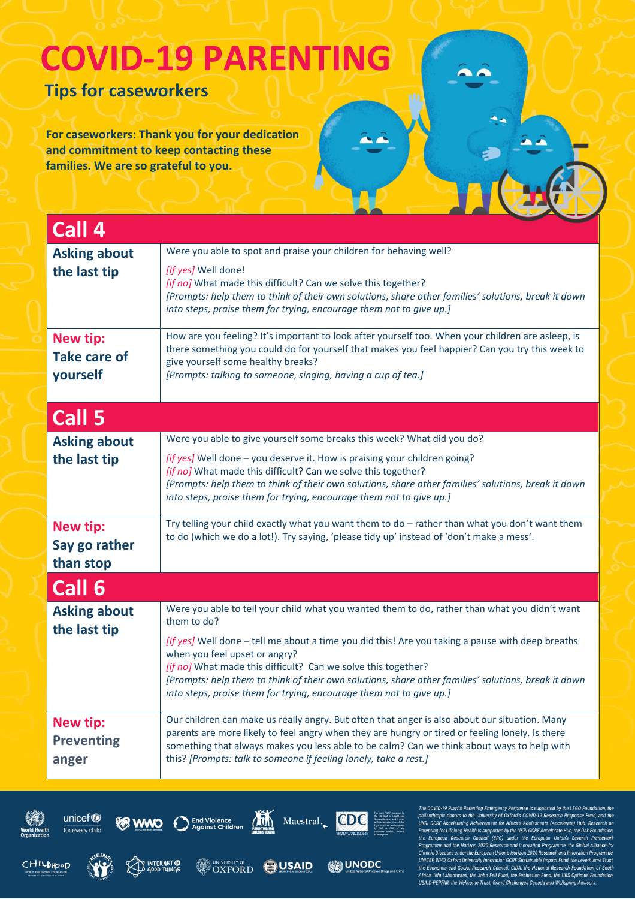**Tips for caseworkers**

**For caseworkers: Thank you for your dedication and commitment to keep contacting these families. We are so grateful to you.**

| Call 4                                             |                                                                                                                                                                                                                                                                                                                                                                                                                                                                                                  |  |
|----------------------------------------------------|--------------------------------------------------------------------------------------------------------------------------------------------------------------------------------------------------------------------------------------------------------------------------------------------------------------------------------------------------------------------------------------------------------------------------------------------------------------------------------------------------|--|
| <b>Asking about</b><br>the last tip                | Were you able to spot and praise your children for behaving well?<br>[If yes] Well done!<br>[if no] What made this difficult? Can we solve this together?<br>[Prompts: help them to think of their own solutions, share other families' solutions, break it down<br>into steps, praise them for trying, encourage them not to give up.]                                                                                                                                                          |  |
| <b>New tip:</b><br><b>Take care of</b><br>yourself | How are you feeling? It's important to look after yourself too. When your children are asleep, is<br>there something you could do for yourself that makes you feel happier? Can you try this week to<br>give yourself some healthy breaks?<br>[Prompts: talking to someone, singing, having a cup of tea.]                                                                                                                                                                                       |  |
| Call 5                                             |                                                                                                                                                                                                                                                                                                                                                                                                                                                                                                  |  |
| <b>Asking about</b><br>the last tip                | Were you able to give yourself some breaks this week? What did you do?<br>[if yes] Well done - you deserve it. How is praising your children going?<br>[if no] What made this difficult? Can we solve this together?<br>[Prompts: help them to think of their own solutions, share other families' solutions, break it down<br>into steps, praise them for trying, encourage them not to give up.]                                                                                               |  |
| <b>New tip:</b><br>Say go rather<br>than stop      | Try telling your child exactly what you want them to do - rather than what you don't want them<br>to do (which we do a lot!). Try saying, 'please tidy up' instead of 'don't make a mess'.                                                                                                                                                                                                                                                                                                       |  |
| Call 6                                             |                                                                                                                                                                                                                                                                                                                                                                                                                                                                                                  |  |
| <b>Asking about</b><br>the last tip                | Were you able to tell your child what you wanted them to do, rather than what you didn't want<br>them to do?<br>[If yes] Well done - tell me about a time you did this! Are you taking a pause with deep breaths<br>when you feel upset or angry?<br>[if no] What made this difficult? Can we solve this together?<br>[Prompts: help them to think of their own solutions, share other families' solutions, break it down<br>into steps, praise them for trying, encourage them not to give up.] |  |
| <b>New tip:</b><br><b>Preventing</b><br>anger      | Our children can make us really angry. But often that anger is also about our situation. Many<br>parents are more likely to feel angry when they are hungry or tired or feeling lonely. Is there<br>something that always makes you less able to be calm? Can we think about ways to help with<br>this? [Prompts: talk to someone if feeling lonely, take a rest.]                                                                                                                               |  |

CHILDHOOD





**AR INTERNET** 



OXFORD ON NAID



**ON UNODC** 

The COVID-19 Playful Parenting Emergency Response is supported by the LEGO Foundation, the philanthropic donors to the University of Oxford's COVID-19 Research Response Fund, and the UKRI GCRF Accelerating Achievement for r areniming for increments a supported by the change of the European Union's Seventh Framework<br>The European Research Council (ERC) under the European Union's Seventh Framework<br>Programme and the Horizon 2020 Research and In UNICEF, WHO, Oxford University Innovation GCRF Sustainable Impact Fund, the Lev The Connomic and Social Research Council, CIDA, the National Research Foundation of South<br>Africa, Ilifa Labantwana, the John Fell Fund, the Evaluation Fund, the UBS Optimus Foundation,<br>USAID-PEPFAR, the Wellcome Trust, Gra